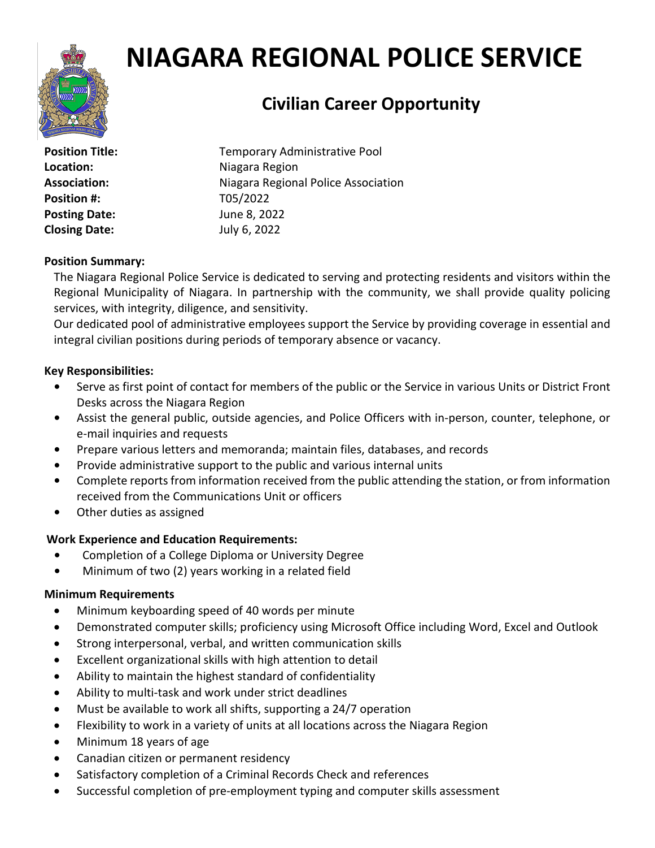

# **NIAGARA REGIONAL POLICE SERVICE**

# **Civilian Career Opportunity**

Location: Niagara Region **Position #:** T05/2022 Posting Date: June 8, 2022 **Closing Date:** July 6, 2022

**Position Title:** Temporary Administrative Pool Association: Niagara Regional Police Association

## **Position Summary:**

The Niagara Regional Police Service is dedicated to serving and protecting residents and visitors within the Regional Municipality of Niagara. In partnership with the community, we shall provide quality policing services, with integrity, diligence, and sensitivity.

Our dedicated pool of administrative employees support the Service by providing coverage in essential and integral civilian positions during periods of temporary absence or vacancy.

## **Key Responsibilities:**

- **•** Serve as first point of contact for members of the public or the Service in various Units or District Front Desks across the Niagara Region
- **•** Assist the general public, outside agencies, and Police Officers with in-person, counter, telephone, or e-mail inquiries and requests
- **•** Prepare various letters and memoranda; maintain files, databases, and records
- **•** Provide administrative support to the public and various internal units
- **•** Complete reports from information received from the public attending the station, or from information received from the Communications Unit or officers
- **•** Other duties as assigned

#### **Work Experience and Education Requirements:**

- **•** Completion of a College Diploma or University Degree
- **•** Minimum of two (2) years working in a related field

#### **Minimum Requirements**

- Minimum keyboarding speed of 40 words per minute
- Demonstrated computer skills; proficiency using Microsoft Office including Word, Excel and Outlook
- Strong interpersonal, verbal, and written communication skills
- Excellent organizational skills with high attention to detail
- Ability to maintain the highest standard of confidentiality
- Ability to multi-task and work under strict deadlines
- Must be available to work all shifts, supporting a 24/7 operation
- Flexibility to work in a variety of units at all locations across the Niagara Region
- Minimum 18 years of age
- Canadian citizen or permanent residency
- Satisfactory completion of a Criminal Records Check and references
- Successful completion of pre-employment typing and computer skills assessment